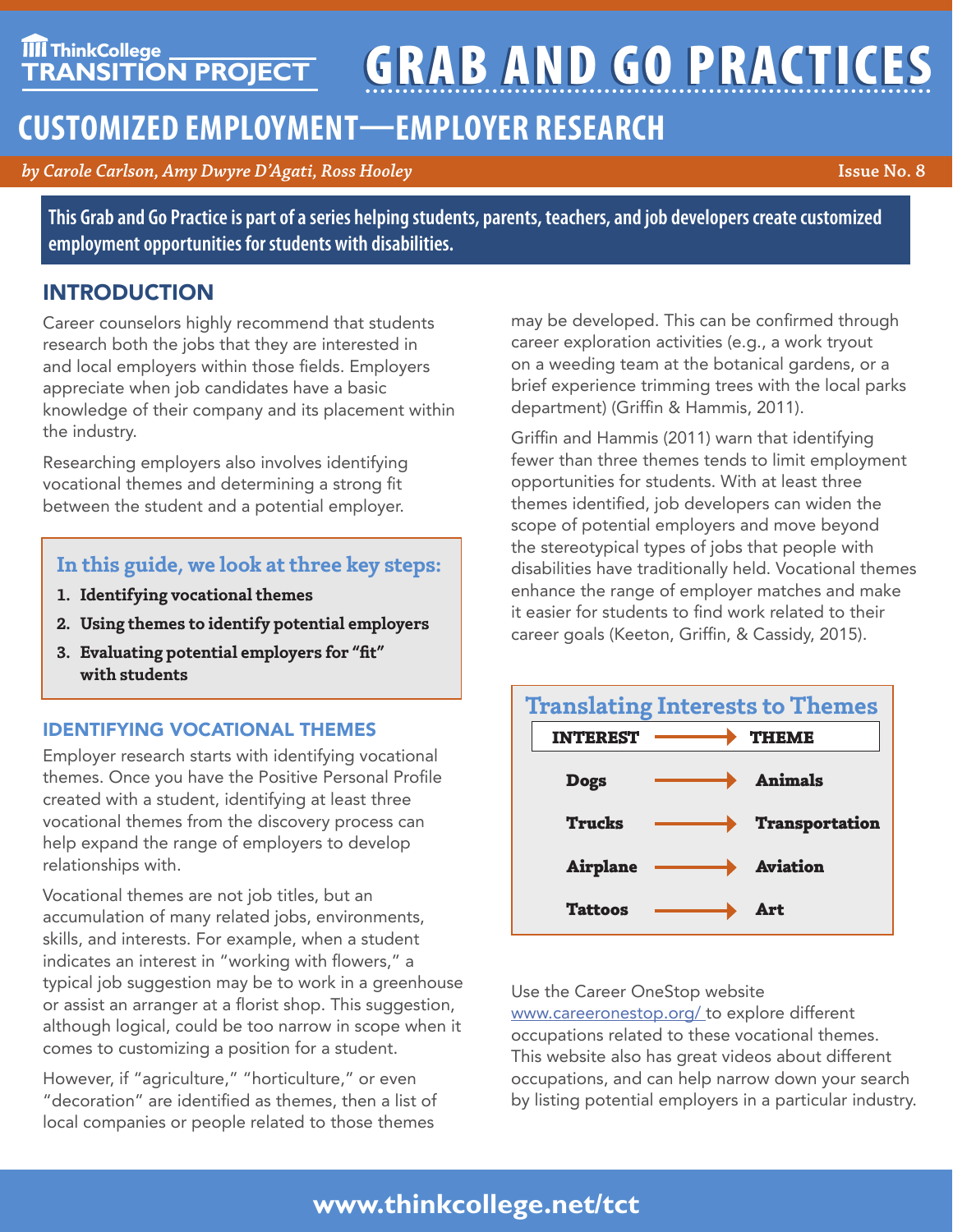# **TIIT ThinkCollege GRAB AND GO PRACTICES**

# **CUSTOMIZED EMPLOYMENT—EMPLOYER RESEARCH**

*by Carole Carlson, Amy Dwyre D'Agati, Ross Hooley* **Issue No. 8**

**This Grab and Go Practice is part of a series helping students, parents, teachers, and job developers create customized employment opportunities for students with disabilities.**

# INTRODUCTION

Career counselors highly recommend that students research both the jobs that they are interested in and local employers within those fields. Employers appreciate when job candidates have a basic knowledge of their company and its placement within the industry.

Researching employers also involves identifying vocational themes and determining a strong fit between the student and a potential employer.

## **In this guide, we look at three key steps:**

- **1. Identifying vocational themes**
- **2. Using themes to identify potential employers**
- **3. Evaluating potential employers for "fit" with students**

#### IDENTIFYING VOCATIONAL THEMES

Employer research starts with identifying vocational themes. Once you have the Positive Personal Profile created with a student, identifying at least three vocational themes from the discovery process can help expand the range of employers to develop relationships with.

Vocational themes are not job titles, but an accumulation of many related jobs, environments, skills, and interests. For example, when a student indicates an interest in "working with flowers," a typical job suggestion may be to work in a greenhouse or assist an arranger at a florist shop. This suggestion, although logical, could be too narrow in scope when it comes to customizing a position for a student.

However, if "agriculture," "horticulture," or even "decoration" are identified as themes, then a list of local companies or people related to those themes

may be developed. This can be confirmed through career exploration activities (e.g., a work tryout on a weeding team at the botanical gardens, or a brief experience trimming trees with the local parks department) (Griffin & Hammis, 2011).

Griffin and Hammis (2011) warn that identifying fewer than three themes tends to limit employment opportunities for students. With at least three themes identified, job developers can widen the scope of potential employers and move beyond the stereotypical types of jobs that people with disabilities have traditionally held. Vocational themes enhance the range of employer matches and make it easier for students to find work related to their career goals (Keeton, Griffin, & Cassidy, 2015).



#### Use the Career OneStop website

www.careeronestop.org/ to explore different occupations related to these vocational themes. This website also has great videos about different occupations, and can help narrow down your search by listing potential employers in a particular industry.

# **www.thinkcollege.net/tct**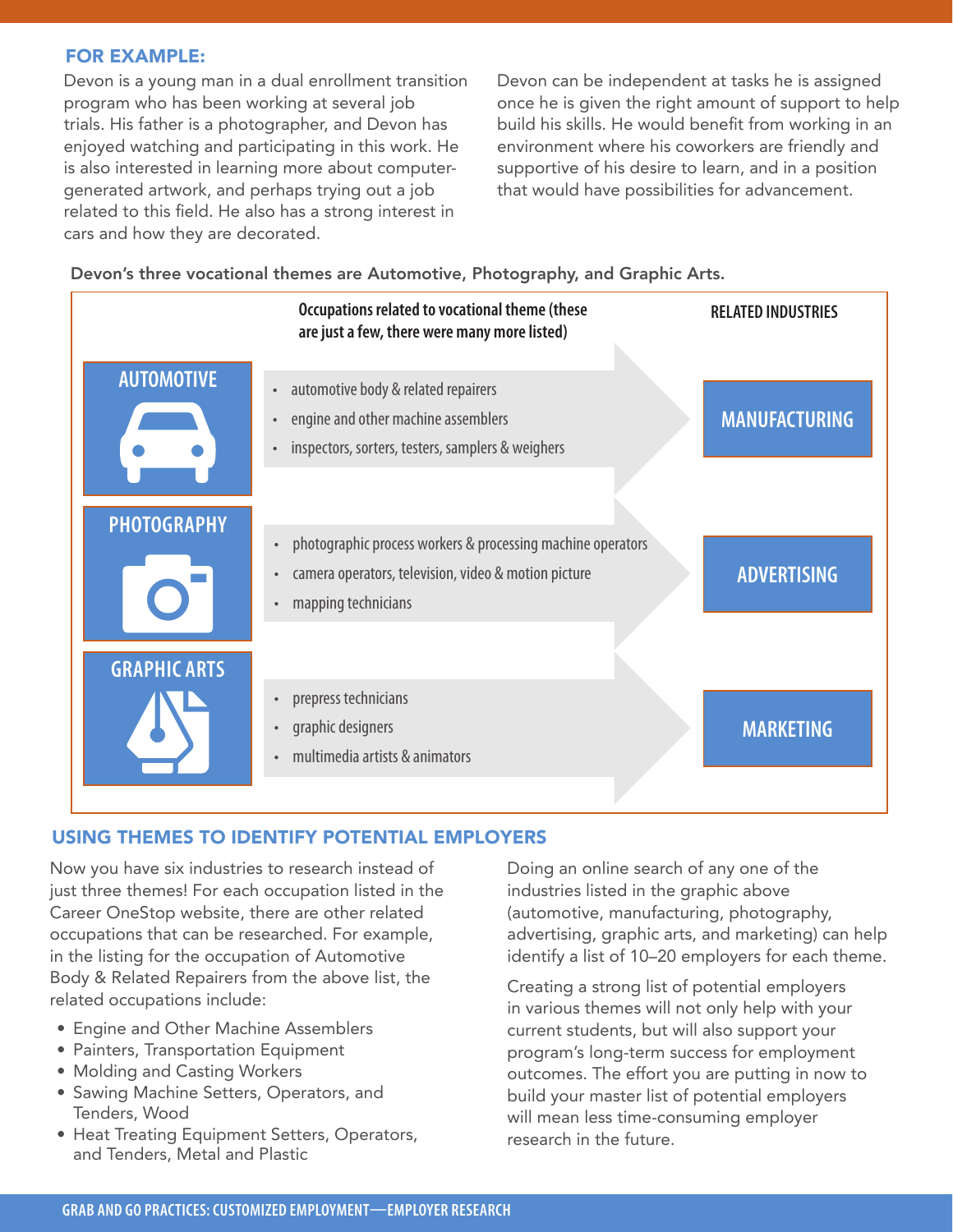#### FOR EXAMPLE:

Devon is a young man in a dual enrollment transition program who has been working at several job trials. His father is a photographer, and Devon has enjoyed watching and participating in this work. He is also interested in learning more about computergenerated artwork, and perhaps trying out a job related to this field. He also has a strong interest in cars and how they are decorated.

Devon can be independent at tasks he is assigned once he is given the right amount of support to help build his skills. He would benefit from working in an environment where his coworkers are friendly and supportive of his desire to learn, and in a position that would have possibilities for advancement.

Devon's three vocational themes are Automotive, Photography, and Graphic Arts.



#### USING THEMES TO IDENTIFY POTENTIAL EMPLOYERS

Now you have six industries to research instead of just three themes! For each occupation listed in the Career OneStop website, there are other related occupations that can be researched. For example, in the listing for the occupation of Automotive Body & Related Repairers from the above list, the related occupations include:

- Engine and Other Machine Assemblers
- Painters, Transportation Equipment
- Molding and Casting Workers
- Sawing Machine Setters, Operators, and Tenders, Wood
- Heat Treating Equipment Setters, Operators, and Tenders, Metal and Plastic

Doing an online search of any one of the industries listed in the graphic above (automotive, manufacturing, photography, advertising, graphic arts, and marketing) can help identify a list of 10–20 employers for each theme.

Creating a strong list of potential employers in various themes will not only help with your current students, but will also support your program's long-term success for employment outcomes. The effort you are putting in now to build your master list of potential employers will mean less time-consuming employer research in the future.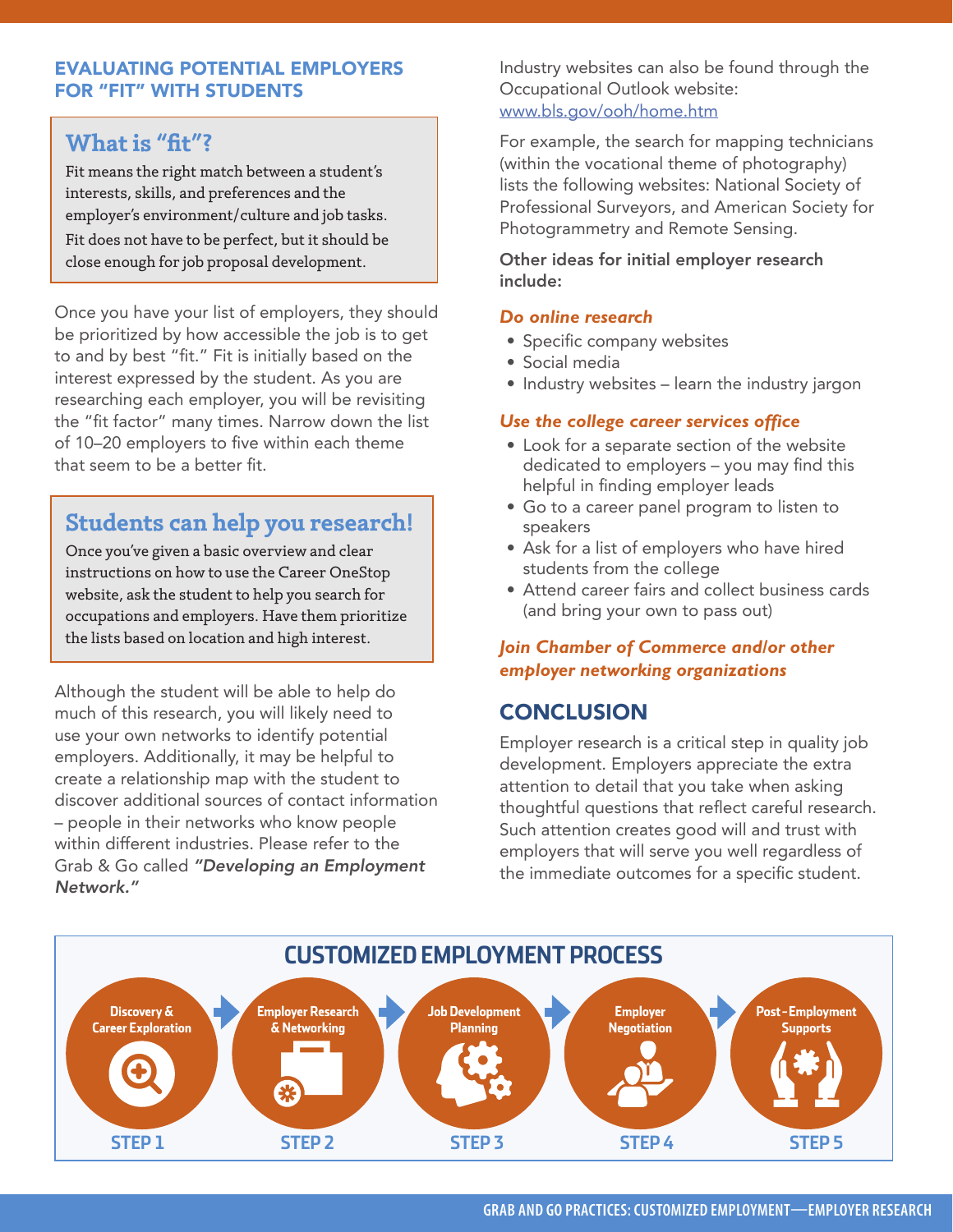#### EVALUATING POTENTIAL EMPLOYERS FOR "FIT" WITH STUDENTS

## **What is "fit"?**

Fit means the right match between a student's interests, skills, and preferences and the employer's environment/culture and job tasks. Fit does not have to be perfect, but it should be close enough for job proposal development.

Once you have your list of employers, they should be prioritized by how accessible the job is to get to and by best "fit." Fit is initially based on the interest expressed by the student. As you are researching each employer, you will be revisiting the "fit factor" many times. Narrow down the list of 10–20 employers to five within each theme that seem to be a better fit.

# **Students can help you research!**

Once you've given a basic overview and clear instructions on how to use the Career OneStop website, ask the student to help you search for occupations and employers. Have them prioritize the lists based on location and high interest.

Although the student will be able to help do much of this research, you will likely need to use your own networks to identify potential employers. Additionally, it may be helpful to create a relationship map with the student to discover additional sources of contact information – people in their networks who know people within different industries. Please refer to the Grab & Go called *"Developing an Employment Network."*

Industry websites can also be found through the Occupational Outlook website: www.bls.gov/ooh/home.htm

For example, the search for mapping technicians (within the vocational theme of photography) lists the following websites: National Society of Professional Surveyors, and American Society for Photogrammetry and Remote Sensing.

Other ideas for initial employer research include:

#### *Do online research*

- Specific company websites
- Social media
- Industry websites learn the industry jargon

#### *Use the college career services office*

- Look for a separate section of the website dedicated to employers – you may find this helpful in finding employer leads
- Go to a career panel program to listen to speakers
- Ask for a list of employers who have hired students from the college
- Attend career fairs and collect business cards (and bring your own to pass out)

#### *Join Chamber of Commerce and/or other employer networking organizations*

# **CONCLUSION**

Employer research is a critical step in quality job development. Employers appreciate the extra attention to detail that you take when asking thoughtful questions that reflect careful research. Such attention creates good will and trust with employers that will serve you well regardless of the immediate outcomes for a specific student.